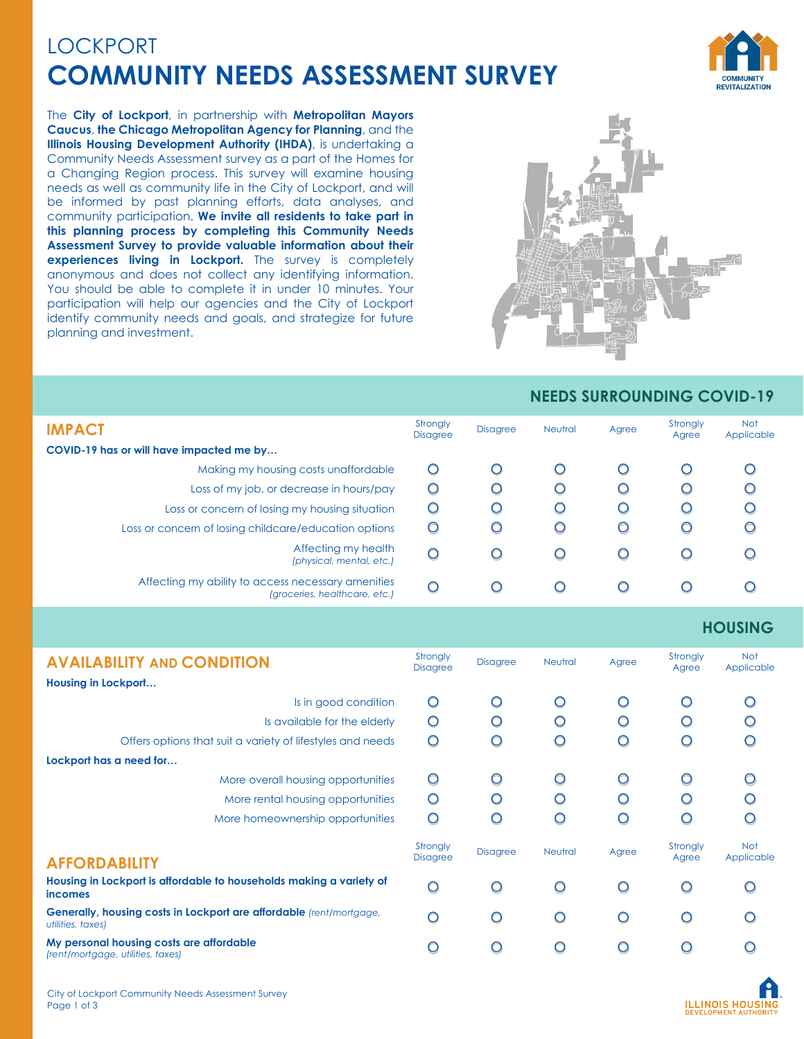## LOCKPORT **COMMUNITY NEEDS ASSESSMENT SURVEY**



The **City of Lockport**, in partnership with **Metropolitan Mayors Caucus**, **the Chicago Metropolitan Agency for Planning**, and the **Illinois Housing Development Authority (IHDA)**, is undertaking a Community Needs Assessment survey as a part of the Homes for a Changing Region process. This survey will examine housing needs as well as community life in the City of Lockport, and will be informed by past planning efforts, data analyses, and community participation. **We invite all residents to take part in this planning process by completing this Community Needs Assessment Survey to provide valuable information about their experiences living in Lockport.** The survey is completely anonymous and does not collect any identifying information. You should be able to complete it in under 10 minutes. Your participation will help our agencies and the City of Lockport identify community needs and goals, and strategize for future planning and investment.



## **NEEDS SURROUNDING COVID-19**

| <b>IMPACT</b>                                                                       | Strongly<br><b>Disagree</b> | <b>Disagree</b> | <b>Neutral</b> | Agree | Strongly<br>Agree | <b>Not</b><br>Applicable |
|-------------------------------------------------------------------------------------|-----------------------------|-----------------|----------------|-------|-------------------|--------------------------|
| COVID-19 has or will have impacted me by                                            |                             |                 |                |       |                   |                          |
| Making my housing costs unaffordable                                                | O                           | O               | Ő              |       |                   | O                        |
| Loss of my job, or decrease in hours/pay                                            | O                           | O               | O              |       |                   | O                        |
| Loss or concern of losing my housing situation                                      | O                           | O               | O              |       | O                 | О                        |
| Loss or concern of losing childcare/education options                               | O                           | O               | O              | Ω     | O                 | O                        |
| Affecting my health<br>(physical, mental, etc.)                                     | O                           | O               | O              | C     |                   | O                        |
| Affecting my ability to access necessary amenities<br>(groceries, healthcare, etc.) | O                           | O               | $\bigcap$      |       |                   | O                        |

## **HOUSING**

| <b>AVAILABILITY AND CONDITION</b>                                                        | Strongly<br><b>Disagree</b> | <b>Disagree</b> | Neutral | Agree | Strongly<br>Agree | <b>Not</b><br>Applicable |
|------------------------------------------------------------------------------------------|-----------------------------|-----------------|---------|-------|-------------------|--------------------------|
| Housing in Lockport                                                                      |                             |                 |         |       |                   |                          |
| Is in good condition                                                                     | O                           | ∩               | O       | Ω     | ∩                 |                          |
| Is available for the elderly                                                             | O                           | ∩               | O       | O     | ∩                 |                          |
| Offers options that suit a variety of lifestyles and needs                               | O                           | O               | ∩       | O     | ∩                 |                          |
| Lockport has a need for                                                                  |                             |                 |         |       |                   |                          |
| More overall housing opportunities                                                       | O                           | O               | O       | O     | O                 | O                        |
| More rental housing opportunities                                                        | $\circ$                     | O               | O       | O     | ∩                 | ◯                        |
| More homeownership opportunities                                                         | O                           | O               | O       | ∩     | ∩                 | ∩                        |
|                                                                                          | Strongly                    | <b>Disagree</b> | Neutral | Agree | Strongly          | <b>Not</b>               |
| <b>AFFORDABILITY</b>                                                                     | <b>Disagree</b>             |                 |         |       | Agree             | Applicable               |
| Housing in Lockport is affordable to households making a variety of<br><i>incomes</i>    | Ω                           | ∩               | ∩       | Ω     | Ω                 |                          |
| Generally, housing costs in Lockport are affordable (rent/mortgage,<br>utilities, taxes) | O                           | O               | O       | Ω     | Ω                 |                          |
| My personal housing costs are affordable<br>(rent/mortgage, utilities, taxes)            |                             |                 |         |       | œ                 |                          |

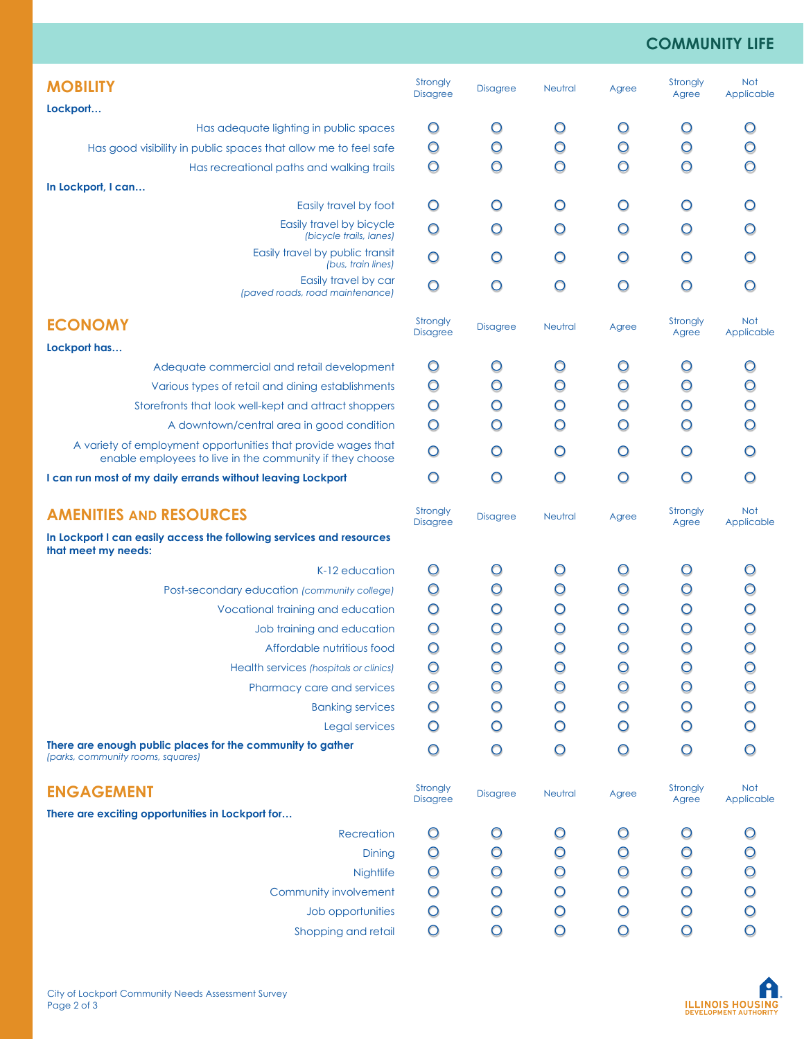## **COMMUNITY LIFE**

| <b>MOBILITY</b>                                                                                                           | Strongly<br><b>Disagree</b> | <b>Disagree</b> | <b>Neutral</b> | Agree   | Strongly<br>Agree | <b>Not</b><br>Applicable |
|---------------------------------------------------------------------------------------------------------------------------|-----------------------------|-----------------|----------------|---------|-------------------|--------------------------|
| Lockport                                                                                                                  |                             |                 |                |         |                   |                          |
| Has adequate lighting in public spaces                                                                                    | $\circ$                     | O               | $\circ$        | $\circ$ | $\circ$           | O                        |
| Has good visibility in public spaces that allow me to feel safe                                                           | $\circ$                     | O               | $\circ$        | $\circ$ | $\circ$           | O                        |
| Has recreational paths and walking trails                                                                                 | $\circ$                     | O               | $\circ$        | $\circ$ | $\circ$           | O                        |
| In Lockport, I can                                                                                                        |                             |                 |                |         |                   |                          |
| Easily travel by foot                                                                                                     | $\circ$                     | O               | O              | $\circ$ | $\circ$           |                          |
| Easily travel by bicycle<br>(bicycle trails, lanes)                                                                       | $\circ$                     | $\circ$         | $\circ$        | O       | O                 | O                        |
| Easily travel by public transit<br>(bus, train lines)                                                                     | $\circ$                     | O               | $\circ$        | $\circ$ | $\circ$           |                          |
| Easily travel by car<br>(paved roads, road maintenance)                                                                   | $\circ$                     | $\circ$         | $\circ$        | $\circ$ | $\circ$           | O                        |
| <b>ECONOMY</b>                                                                                                            | Strongly<br><b>Disagree</b> | <b>Disagree</b> | Neutral        | Agree   | Strongly<br>Agree | <b>Not</b><br>Applicable |
| Lockport has                                                                                                              |                             |                 |                |         |                   |                          |
| Adequate commercial and retail development                                                                                | $\circ$                     | O               | $\circ$        | O       | O                 | O                        |
| Various types of retail and dining establishments                                                                         | $\circ$                     | O               | O              | $\circ$ | $\circ$           | O                        |
| Storefronts that look well-kept and attract shoppers                                                                      | $\circ$                     | O               | O              | O       | O                 | O                        |
| A downtown/central area in good condition                                                                                 | $\circ$                     | O               | $\circ$        | $\circ$ | $\circ$           |                          |
| A variety of employment opportunities that provide wages that<br>enable employees to live in the community if they choose | $\circ$                     | O               | O              | O       | O                 | Ω                        |
| I can run most of my daily errands without leaving Lockport                                                               | $\circ$                     | $\circ$         | $\circ$        | $\circ$ | $\circ$           | O                        |
| <b>AMENITIES AND RESOURCES</b>                                                                                            | Strongly<br><b>Disagree</b> | <b>Disagree</b> | <b>Neutral</b> | Agree   | Strongly<br>Agree | <b>Not</b><br>Applicable |
| In Lockport I can easily access the following services and resources<br>that meet my needs:                               |                             |                 |                |         |                   |                          |
| K-12 education                                                                                                            | $\circ$                     | O               | O              | $\circ$ | $\circ$           |                          |
| Post-secondary education (community college)                                                                              | $\circ$                     | O               | O              | O       | O                 |                          |
| Vocational training and education                                                                                         | $\circ$                     | O               | O              | O       | O                 |                          |
| Job training and education                                                                                                | $\circ$                     | O               | $\circ$        | O       | O                 | O                        |
| Affordable nutritious food                                                                                                | $\circ$                     | $\circ$         | $\circ$        | $\circ$ | O                 | $\bigcirc$               |
| Health services (hospitals or clinics)                                                                                    | $\circ$                     | O               | O              | O       | O                 | O                        |
| Pharmacy care and services                                                                                                | $\circ$                     | O               | O              | $\circ$ | $\circ$           |                          |
| <b>Banking services</b>                                                                                                   | $\circ$                     | O               | O              | $\circ$ | O                 | O                        |
| Legal services                                                                                                            | $\circ$                     | O               | O              | $\circ$ | O                 | O                        |
| There are enough public places for the community to gather<br>(parks, community rooms, squares)                           | $\circ$                     | O               | $\circ$        | $\circ$ | $\circ$           | O                        |
| <b>ENGAGEMENT</b>                                                                                                         | Strongly                    | <b>Disagree</b> | Neutral        | Agree   | Strongly          | Not                      |
| There are exciting opportunities in Lockport for                                                                          | <b>Disagree</b>             |                 |                |         | Agree             | Applicable               |
| Recreation                                                                                                                | $\circ$                     | O               | O              | $\circ$ | O                 |                          |
| Dining                                                                                                                    | $\circ$                     | O               | O              | O       | O                 |                          |
| Nightlife                                                                                                                 | $\circ$                     | O               | O              | $\circ$ | $\circ$           | O                        |
| Community involvement                                                                                                     | $\circ$                     | O               | O              | $\circ$ | $\circ$           | O                        |
| Job opportunities                                                                                                         | $\circ$                     | O               | O              | $\circ$ | $\circ$           | O                        |
| Shopping and retail                                                                                                       | $\circ$                     | $\circ$         | $\circ$        | $\circ$ | $\circ$           | $\circ$                  |
|                                                                                                                           |                             |                 |                |         |                   |                          |